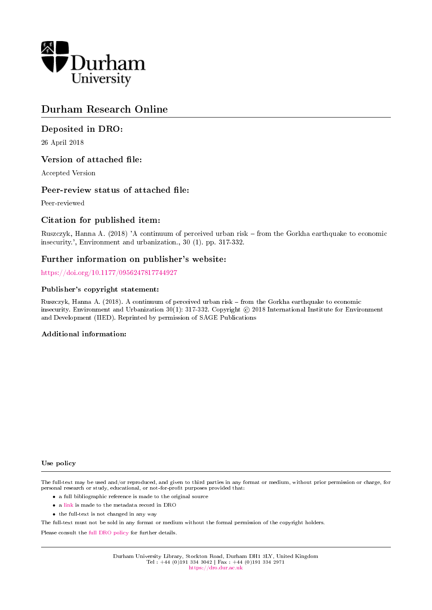

# Durham Research Online

# Deposited in DRO:

26 April 2018

# Version of attached file:

Accepted Version

# Peer-review status of attached file:

Peer-reviewed

# Citation for published item:

Ruszczyk, Hanna A. (2018) 'A continuum of perceived urban risk from the Gorkha earthquake to economic insecurity.', Environment and urbanization., 30 (1). pp. 317-332.

# Further information on publisher's website:

<https://doi.org/10.1177/0956247817744927>

#### Publisher's copyright statement:

Ruszczyk, Hanna A. (2018). A continuum of perceived urban risk - from the Gorkha earthquake to economic insecurity. Environment and Urbanization 30(1): 317-332. Copyright © 2018 International Institute for Environment and Development (IIED). Reprinted by permission of SAGE Publications

#### Additional information:

#### Use policy

The full-text may be used and/or reproduced, and given to third parties in any format or medium, without prior permission or charge, for personal research or study, educational, or not-for-profit purposes provided that:

- a full bibliographic reference is made to the original source
- a [link](http://dro.dur.ac.uk/24661/) is made to the metadata record in DRO
- the full-text is not changed in any way

The full-text must not be sold in any format or medium without the formal permission of the copyright holders.

Please consult the [full DRO policy](https://dro.dur.ac.uk/policies/usepolicy.pdf) for further details.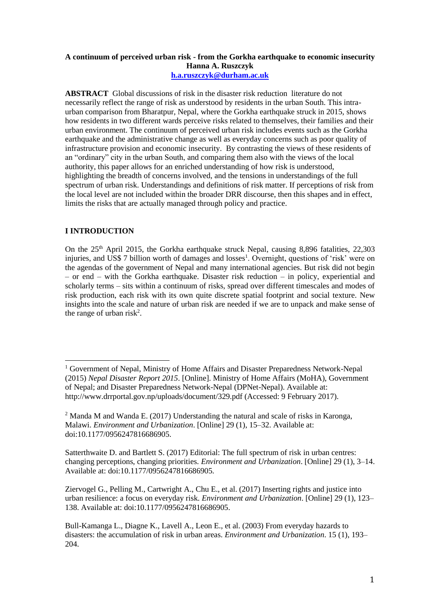#### **A continuum of perceived urban risk - from the Gorkha earthquake to economic insecurity Hanna A. Ruszczyk [h.a.ruszczyk@durham.ac.uk](mailto:h.a.ruszczyk@durham.ac.uk)**

**ABSTRACT** Global discussions of risk in the disaster risk reduction literature do not necessarily reflect the range of risk as understood by residents in the urban South. This intraurban comparison from Bharatpur, Nepal, where the Gorkha earthquake struck in 2015, shows how residents in two different wards perceive risks related to themselves, their families and their urban environment. The continuum of perceived urban risk includes events such as the Gorkha earthquake and the administrative change as well as everyday concerns such as poor quality of infrastructure provision and economic insecurity. By contrasting the views of these residents of an "ordinary" city in the urban South, and comparing them also with the views of the local authority, this paper allows for an enriched understanding of how risk is understood, highlighting the breadth of concerns involved, and the tensions in understandings of the full spectrum of urban risk. Understandings and definitions of risk matter. If perceptions of risk from the local level are not included within the broader DRR discourse, then this shapes and in effect, limits the risks that are actually managed through policy and practice.

## **I INTRODUCTION**

 $\overline{a}$ 

On the 25<sup>th</sup> April 2015, the Gorkha earthquake struck Nepal, causing 8,896 fatalities, 22,303 injuries, and US\$ 7 billion worth of damages and losses<sup>1</sup>. Overnight, questions of 'risk' were on the agendas of the government of Nepal and many international agencies. But risk did not begin – or end – with the Gorkha earthquake. Disaster risk reduction – in policy, experiential and scholarly terms – sits within a continuum of risks, spread over different timescales and modes of risk production, each risk with its own quite discrete spatial footprint and social texture. New insights into the scale and nature of urban risk are needed if we are to unpack and make sense of the range of urban risk<sup>2</sup>.

Ziervogel G., Pelling M., Cartwright A., Chu E., et al. (2017) Inserting rights and justice into urban resilience: a focus on everyday risk. *Environment and Urbanization*. [Online] 29 (1), 123– 138. Available at: doi:10.1177/0956247816686905.

<sup>&</sup>lt;sup>1</sup> Government of Nepal, Ministry of Home Affairs and Disaster Preparedness Network-Nepal (2015) *Nepal Disaster Report 2015*. [Online]. Ministry of Home Affairs (MoHA), Government of Nepal; and Disaster Preparedness Network-Nepal (DPNet-Nepal). Available at: http://www.drrportal.gov.np/uploads/document/329.pdf (Accessed: 9 February 2017).

<sup>2</sup> Manda M and Wanda E. (2017) Understanding the natural and scale of risks in Karonga, Malawi. *Environment and Urbanization*. [Online] 29 (1), 15–32. Available at: doi:10.1177/0956247816686905.

Satterthwaite D. and Bartlett S. (2017) Editorial: The full spectrum of risk in urban centres: changing perceptions, changing priorities. *Environment and Urbanization*. [Online] 29 (1), 3–14. Available at: doi:10.1177/0956247816686905.

Bull-Kamanga L., Diagne K., Lavell A., Leon E., et al. (2003) From everyday hazards to disasters: the accumulation of risk in urban areas. *Environment and Urbanization*. 15 (1), 193– 204.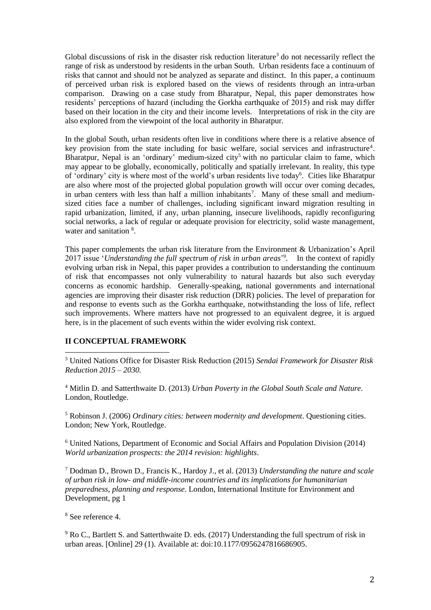Global discussions of risk in the disaster risk reduction literature<sup>3</sup> do not necessarily reflect the range of risk as understood by residents in the urban South. Urban residents face a continuum of risks that cannot and should not be analyzed as separate and distinct. In this paper, a continuum of perceived urban risk is explored based on the views of residents through an intra-urban comparison. Drawing on a case study from Bharatpur, Nepal, this paper demonstrates how residents' perceptions of hazard (including the Gorkha earthquake of 2015) and risk may differ based on their location in the city and their income levels. Interpretations of risk in the city are also explored from the viewpoint of the local authority in Bharatpur.

In the global South, urban residents often live in conditions where there is a relative absence of key provision from the state including for basic welfare, social services and infrastructure<sup>4</sup>. Bharatpur, Nepal is an 'ordinary' medium-sized city<sup>5</sup> with no particular claim to fame, which may appear to be globally, economically, politically and spatially irrelevant. In reality, this type of 'ordinary' city is where most of the world's urban residents live today<sup>6</sup>. Cities like Bharatpur are also where most of the projected global population growth will occur over coming decades, in urban centers with less than half a million inhabitants<sup>7</sup>. Many of these small and mediumsized cities face a number of challenges, including significant inward migration resulting in rapid urbanization, limited, if any, urban planning, insecure livelihoods, rapidly reconfiguring social networks, a lack of regular or adequate provision for electricity, solid waste management, water and sanitation <sup>8</sup>.

This paper complements the urban risk literature from the Environment & Urbanization's April 2017 issue '*Understanding the full spectrum of risk in urban areas*' 9 . In the context of rapidly evolving urban risk in Nepal, this paper provides a contribution to understanding the continuum of risk that encompasses not only vulnerability to natural hazards but also such everyday concerns as economic hardship. Generally-speaking, national governments and international agencies are improving their disaster risk reduction (DRR) policies. The level of preparation for and response to events such as the Gorkha earthquake, notwithstanding the loss of life, reflect such improvements. Where matters have not progressed to an equivalent degree, it is argued here, is in the placement of such events within the wider evolving risk context.

# **II CONCEPTUAL FRAMEWORK**

 $\overline{a}$ <sup>3</sup> United Nations Office for Disaster Risk Reduction (2015) *Sendai Framework for Disaster Risk Reduction 2015 – 2030.*

<sup>4</sup> Mitlin D. and Satterthwaite D. (2013) *Urban Poverty in the Global South Scale and Nature*. London, Routledge.

<sup>5</sup> Robinson J. (2006) *Ordinary cities: between modernity and development*. Questioning cities. London; New York, Routledge.

<sup>6</sup> United Nations, Department of Economic and Social Affairs and Population Division (2014) *World urbanization prospects: the 2014 revision: highlights*.

<sup>7</sup> Dodman D., Brown D., Francis K., Hardoy J., et al. (2013) *Understanding the nature and scale of urban risk in low- and middle-income countries and its implications for humanitarian preparedness, planning and response*. London, International Institute for Environment and Development, pg 1

<sup>8</sup> See reference 4.

<sup>9</sup> Ro C., Bartlett S. and Satterthwaite D. eds. (2017) Understanding the full spectrum of risk in urban areas. [Online] 29 (1). Available at: doi:10.1177/0956247816686905.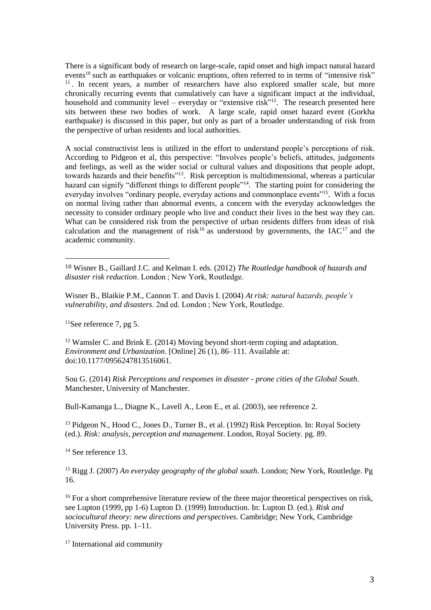There is a significant body of research on large-scale, rapid onset and high impact natural hazard events<sup>10</sup> such as earthquakes or volcanic eruptions, often referred to in terms of "intensive risk" <sup>11</sup>. In recent years, a number of researchers have also explored smaller scale, but more chronically recurring events that cumulatively can have a significant impact at the individual, household and community level – everyday or "extensive risk"<sup>12</sup>. The research presented here sits between these two bodies of work. A large scale, rapid onset hazard event (Gorkha earthquake) is discussed in this paper, but only as part of a broader understanding of risk from the perspective of urban residents and local authorities.

A social constructivist lens is utilized in the effort to understand people's perceptions of risk. According to Pidgeon et al, this perspective: "Involves people's beliefs, attitudes, judgements and feelings, as well as the wider social or cultural values and dispositions that people adopt, towards hazards and their benefits"<sup>13</sup>. Risk perception is multidimensional, whereas a particular hazard can signify "different things to different people"<sup>14</sup>. The starting point for considering the everyday involves "ordinary people, everyday actions and commonplace events"<sup>15</sup>. With a focus on normal living rather than abnormal events, a concern with the everyday acknowledges the necessity to consider ordinary people who live and conduct their lives in the best way they can. What can be considered risk from the perspective of urban residents differs from ideas of risk calculation and the management of risk<sup>16</sup> as understood by governments, the  $IAC^{17}$  and the academic community.

Wisner B., Blaikie P.M., Cannon T. and Davis I. (2004) *At risk: natural hazards, people's vulnerability, and disasters*. 2nd ed. London ; New York, Routledge.

 $11$ See reference 7, pg 5.

 $\overline{a}$ 

<sup>12</sup> Wamsler C. and Brink E. (2014) Moving beyond short-term coping and adaptation. *Environment and Urbanization*. [Online] 26 (1), 86–111. Available at: doi:10.1177/0956247813516061.

Sou G. (2014) *Risk Perceptions and responses in disaster - prone cities of the Global South*. Manchester, University of Manchester.

Bull-Kamanga L., Diagne K., Lavell A., Leon E., et al. (2003), see reference 2.

<sup>13</sup> Pidgeon N., Hood C., Jones D., Turner B., et al. (1992) Risk Perception. In: Royal Society (ed.). *Risk: analysis, perception and management*. London, Royal Society. pg. 89.

<sup>14</sup> See reference 13.

<sup>15</sup> Rigg J. (2007) *An everyday geography of the global south*. London; New York, Routledge. Pg 16.

<sup>16</sup> For a short comprehensive literature review of the three major theoretical perspectives on risk, see Lupton (1999, pp 1-6) Lupton D. (1999) Introduction. In: Lupton D. (ed.). *Risk and sociocultural theory: new directions and perspectives*. Cambridge; New York, Cambridge University Press. pp. 1–11.

<sup>17</sup> International aid community

<sup>10</sup> Wisner B., Gaillard J.C. and Kelman I. eds. (2012) *The Routledge handbook of hazards and disaster risk reduction*. London ; New York, Routledge.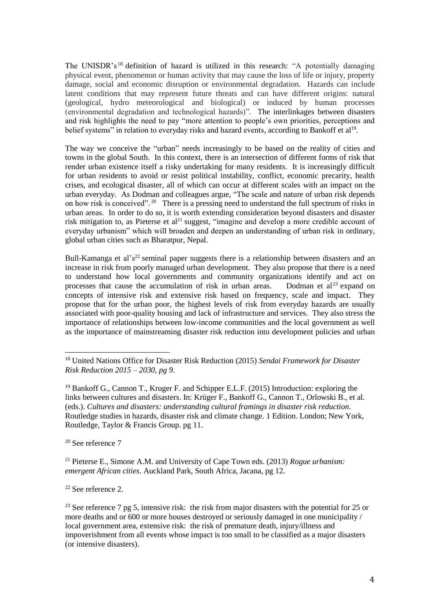The UNISDR's<sup>18</sup> definition of hazard is utilized in this research: "A potentially damaging physical event, phenomenon or human activity that may cause the loss of life or injury, property damage, social and economic disruption or environmental degradation. Hazards can include latent conditions that may represent future threats and can have different origins: natural (geological, hydro meteorological and biological) or induced by human processes (environmental degradation and technological hazards)". The interlinkages between disasters and risk highlights the need to pay "more attention to people's own priorities, perceptions and belief systems" in relation to everyday risks and hazard events, according to Bankoff et al<sup>19</sup>.

The way we conceive the "urban" needs increasingly to be based on the reality of cities and towns in the global South. In this context, there is an intersection of different forms of risk that render urban existence itself a risky undertaking for many residents. It is increasingly difficult for urban residents to avoid or resist political instability, conflict, economic precarity, health crises, and ecological disaster, all of which can occur at different scales with an impact on the urban everyday. As Dodman and colleagues argue, "The scale and nature of urban risk depends on how risk is conceived".<sup>20</sup> There is a pressing need to understand the full spectrum of risks in urban areas. In order to do so, it is worth extending consideration beyond disasters and disaster risk mitigation to, as Pieterse et  $al<sup>21</sup>$  suggest, "imagine and develop a more credible account of everyday urbanism" which will broaden and deepen an understanding of urban risk in ordinary, global urban cities such as Bharatpur, Nepal.

Bull-Kamanga et al's<sup>22</sup> seminal paper suggests there is a relationship between disasters and an increase in risk from poorly managed urban development. They also propose that there is a need to understand how local governments and community organizations identify and act on processes that cause the accumulation of risk in urban areas. Dodman et  $al<sup>23</sup>$  expand on concepts of intensive risk and extensive risk based on frequency, scale and impact. They propose that for the urban poor, the highest levels of risk from everyday hazards are usually associated with poor-quality housing and lack of infrastructure and services. They also stress the importance of relationships between low-income communities and the local government as well as the importance of mainstreaming disaster risk reduction into development policies and urban

<sup>20</sup> See reference 7

 $\overline{a}$ 

<sup>21</sup> Pieterse E., Simone A.M. and University of Cape Town eds. (2013) *Rogue urbanism: emergent African cities*. Auckland Park, South Africa, Jacana, pg 12.

<sup>22</sup> See reference 2.

<sup>23</sup> See reference 7 pg 5, intensive risk: the risk from major disasters with the potential for 25 or more deaths and or 600 or more houses destroyed or seriously damaged in one municipality / local government area, extensive risk: the risk of premature death, injury/illness and impoverishment from all events whose impact is too small to be classified as a major disasters (or intensive disasters).

<sup>18</sup> United Nations Office for Disaster Risk Reduction (2015) *Sendai Framework for Disaster Risk Reduction 2015 – 2030, pg 9*.

<sup>&</sup>lt;sup>19</sup> Bankoff G., Cannon T., Kruger F. and Schipper E.L.F. (2015) Introduction: exploring the links between cultures and disasters. In: Krüger F., Bankoff G., Cannon T., Orlowski B., et al. (eds.). *Cultures and disasters: understanding cultural framings in disaster risk reduction*. Routledge studies in hazards, disaster risk and climate change. 1 Edition. London; New York, Routledge, Taylor & Francis Group. pg 11.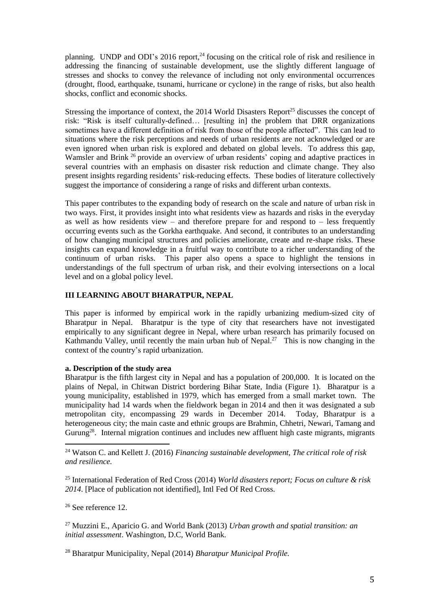planning. UNDP and ODI's 2016 report,<sup>24</sup> focusing on the critical role of risk and resilience in addressing the financing of sustainable development, use the slightly different language of stresses and shocks to convey the relevance of including not only environmental occurrences (drought, flood, earthquake, tsunami, hurricane or cyclone) in the range of risks, but also health shocks, conflict and economic shocks.

Stressing the importance of context, the 2014 World Disasters Report<sup>25</sup> discusses the concept of risk: "Risk is itself culturally-defined… [resulting in] the problem that DRR organizations sometimes have a different definition of risk from those of the people affected". This can lead to situations where the risk perceptions and needs of urban residents are not acknowledged or are even ignored when urban risk is explored and debated on global levels. To address this gap, Wamsler and Brink <sup>26</sup> provide an overview of urban residents' coping and adaptive practices in several countries with an emphasis on disaster risk reduction and climate change. They also present insights regarding residents' risk-reducing effects. These bodies of literature collectively suggest the importance of considering a range of risks and different urban contexts.

This paper contributes to the expanding body of research on the scale and nature of urban risk in two ways. First, it provides insight into what residents view as hazards and risks in the everyday as well as how residents view – and therefore prepare for and respond to – less frequently occurring events such as the Gorkha earthquake. And second, it contributes to an understanding of how changing municipal structures and policies ameliorate, create and re-shape risks. These insights can expand knowledge in a fruitful way to contribute to a richer understanding of the continuum of urban risks. This paper also opens a space to highlight the tensions in understandings of the full spectrum of urban risk, and their evolving intersections on a local level and on a global policy level.

## **III LEARNING ABOUT BHARATPUR, NEPAL**

This paper is informed by empirical work in the rapidly urbanizing medium-sized city of Bharatpur in Nepal. Bharatpur is the type of city that researchers have not investigated empirically to any significant degree in Nepal, where urban research has primarily focused on Kathmandu Valley, until recently the main urban hub of Nepal.<sup>27</sup> This is now changing in the context of the country's rapid urbanization.

#### **a. Description of the study area**

Bharatpur is the fifth largest city in Nepal and has a population of 200,000. It is located on the plains of Nepal, in Chitwan District bordering Bihar State, India (Figure 1). Bharatpur is a young municipality, established in 1979, which has emerged from a small market town. The municipality had 14 wards when the fieldwork began in 2014 and then it was designated a sub metropolitan city, encompassing 29 wards in December 2014. Today, Bharatpur is a heterogeneous city; the main caste and ethnic groups are Brahmin, Chhetri, Newari, Tamang and Gurung<sup>28</sup>. Internal migration continues and includes new affluent high caste migrants, migrants

<sup>24</sup> Watson C. and Kellett J. (2016) *Financing sustainable development, The critical role of risk and resilience.*

<sup>25</sup> International Federation of Red Cross (2014) *World disasters report; Focus on culture & risk 2014*. [Place of publication not identified], Intl Fed Of Red Cross.

<sup>26</sup> See reference 12.

 $\overline{a}$ 

<sup>27</sup> Muzzini E., Aparicio G. and World Bank (2013) *Urban growth and spatial transition: an initial assessment*. Washington, D.C, World Bank.

<sup>28</sup> Bharatpur Municipality, Nepal (2014) *Bharatpur Municipal Profile.*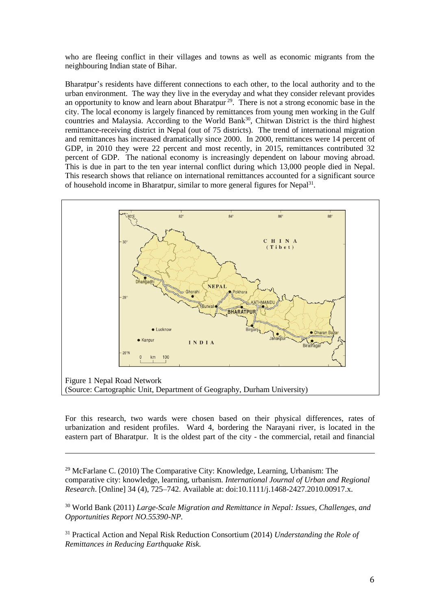who are fleeing conflict in their villages and towns as well as economic migrants from the neighbouring Indian state of Bihar.

Bharatpur's residents have different connections to each other, to the local authority and to the urban environment. The way they live in the everyday and what they consider relevant provides an opportunity to know and learn about Bharatpur<sup>29</sup>. There is not a strong economic base in the city. The local economy is largely financed by remittances from young men working in the Gulf countries and Malaysia. According to the World Bank<sup>30</sup>, Chitwan District is the third highest remittance-receiving district in Nepal (out of 75 districts). The trend of international migration and remittances has increased dramatically since 2000. In 2000, remittances were 14 percent of GDP, in 2010 they were 22 percent and most recently, in 2015, remittances contributed 32 percent of GDP. The national economy is increasingly dependent on labour moving abroad. This is due in part to the ten year internal conflict during which 13,000 people died in Nepal. This research shows that reliance on international remittances accounted for a significant source of household income in Bharatpur, similar to more general figures for Nepal<sup>31</sup>.



For this research, two wards were chosen based on their physical differences, rates of urbanization and resident profiles. Ward 4, bordering the Narayani river, is located in the eastern part of Bharatpur. It is the oldest part of the city - the commercial, retail and financial

<sup>29</sup> McFarlane C. (2010) The Comparative City: Knowledge, Learning, Urbanism: The comparative city: knowledge, learning, urbanism. *International Journal of Urban and Regional Research*. [Online] 34 (4), 725–742. Available at: doi:10.1111/j.1468-2427.2010.00917.x.

<u>.</u>

<sup>30</sup> World Bank (2011) *Large-Scale Migration and Remittance in Nepal: Issues, Challenges, and Opportunities Report NO.55390-NP.*

<sup>31</sup> Practical Action and Nepal Risk Reduction Consortium (2014) *Understanding the Role of Remittances in Reducing Earthquake Risk.*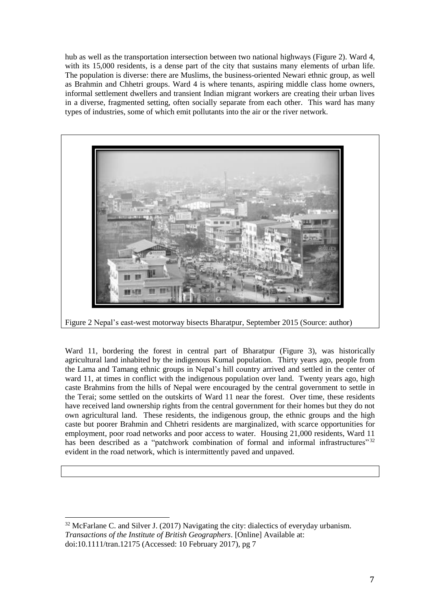hub as well as the transportation intersection between two national highways (Figure 2). Ward 4, with its 15,000 residents, is a dense part of the city that sustains many elements of urban life. The population is diverse: there are Muslims, the business-oriented Newari ethnic group, as well as Brahmin and Chhetri groups. Ward 4 is where tenants, aspiring middle class home owners, informal settlement dwellers and transient Indian migrant workers are creating their urban lives in a diverse, fragmented setting, often socially separate from each other. This ward has many types of industries, some of which emit pollutants into the air or the river network.



Figure 2 Nepal's east-west motorway bisects Bharatpur, September 2015 (Source: author)

Ward 11, bordering the forest in central part of Bharatpur (Figure 3), was historically agricultural land inhabited by the indigenous Kumal population. Thirty years ago, people from the Lama and Tamang ethnic groups in Nepal's hill country arrived and settled in the center of ward 11, at times in conflict with the indigenous population over land. Twenty years ago, high caste Brahmins from the hills of Nepal were encouraged by the central government to settle in the Terai; some settled on the outskirts of Ward 11 near the forest. Over time, these residents have received land ownership rights from the central government for their homes but they do not own agricultural land. These residents, the indigenous group, the ethnic groups and the high caste but poorer Brahmin and Chhetri residents are marginalized, with scarce opportunities for employment, poor road networks and poor access to water. Housing 21,000 residents, Ward 11 has been described as a "patchwork combination of formal and informal infrastructures" 32 evident in the road network, which is intermittently paved and unpaved.

 $\overline{\phantom{a}}$ 

<sup>&</sup>lt;sup>32</sup> McFarlane C. and Silver J. (2017) Navigating the city: dialectics of everyday urbanism. *Transactions of the Institute of British Geographers*. [Online] Available at: doi:10.1111/tran.12175 (Accessed: 10 February 2017), pg 7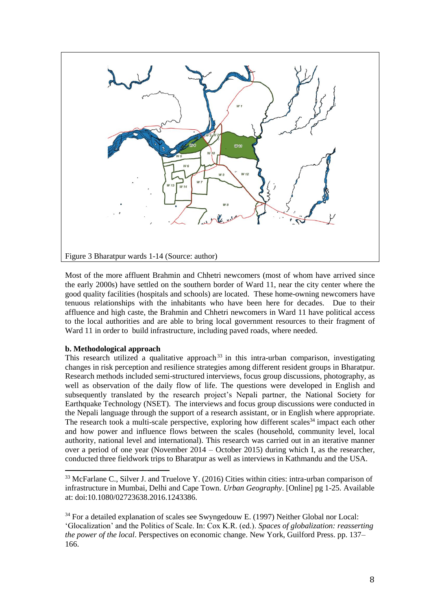

Most of the more affluent Brahmin and Chhetri newcomers (most of whom have arrived since the early 2000s) have settled on the southern border of Ward 11, near the city center where the good quality facilities (hospitals and schools) are located. These home-owning newcomers have tenuous relationships with the inhabitants who have been here for decades. Due to their affluence and high caste, the Brahmin and Chhetri newcomers in Ward 11 have political access to the local authorities and are able to bring local government resources to their fragment of Ward 11 in order to build infrastructure, including paved roads, where needed.

# **b. Methodological approach**

 $\overline{a}$ 

This research utilized a qualitative approach<sup>33</sup> in this intra-urban comparison, investigating changes in risk perception and resilience strategies among different resident groups in Bharatpur. Research methods included semi-structured interviews, focus group discussions, photography, as well as observation of the daily flow of life. The questions were developed in English and subsequently translated by the research project's Nepali partner, the National Society for Earthquake Technology (NSET). The interviews and focus group discussions were conducted in the Nepali language through the support of a research assistant, or in English where appropriate. The research took a multi-scale perspective, exploring how different scales<sup>34</sup> impact each other and how power and influence flows between the scales (household, community level, local authority, national level and international). This research was carried out in an iterative manner over a period of one year (November 2014 – October 2015) during which I, as the researcher, conducted three fieldwork trips to Bharatpur as well as interviews in Kathmandu and the USA.

<sup>&</sup>lt;sup>33</sup> McFarlane C., Silver J. and Truelove Y. (2016) Cities within cities: intra-urban comparison of infrastructure in Mumbai, Delhi and Cape Town. *Urban Geography*. [Online] pg 1-25. Available at: doi:10.1080/02723638.2016.1243386.

<sup>&</sup>lt;sup>34</sup> For a detailed explanation of scales see Swyngedouw E. (1997) Neither Global nor Local: 'Glocalization' and the Politics of Scale. In: Cox K.R. (ed.). *Spaces of globalization: reasserting the power of the local*. Perspectives on economic change. New York, Guilford Press. pp. 137– 166.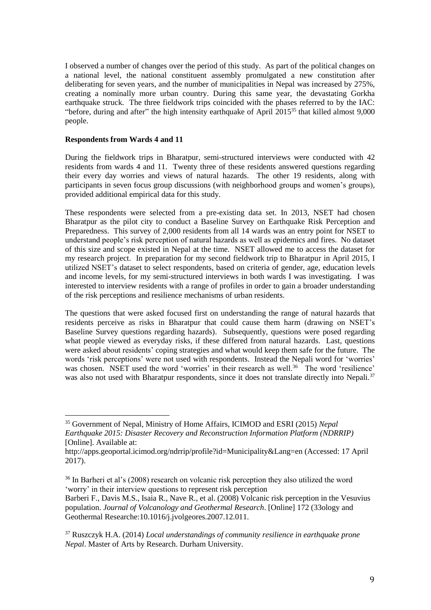I observed a number of changes over the period of this study. As part of the political changes on a national level, the national constituent assembly promulgated a new constitution after deliberating for seven years, and the number of municipalities in Nepal was increased by 275%, creating a nominally more urban country. During this same year, the devastating Gorkha earthquake struck. The three fieldwork trips coincided with the phases referred to by the IAC: "before, during and after" the high intensity earthquake of April 2015<sup>35</sup> that killed almost 9,000 people.

#### **Respondents from Wards 4 and 11**

 $\overline{\phantom{a}}$ 

During the fieldwork trips in Bharatpur, semi-structured interviews were conducted with 42 residents from wards 4 and 11. Twenty three of these residents answered questions regarding their every day worries and views of natural hazards. The other 19 residents, along with participants in seven focus group discussions (with neighborhood groups and women's groups), provided additional empirical data for this study.

These respondents were selected from a pre-existing data set. In 2013, NSET had chosen Bharatpur as the pilot city to conduct a Baseline Survey on Earthquake Risk Perception and Preparedness. This survey of 2,000 residents from all 14 wards was an entry point for NSET to understand people's risk perception of natural hazards as well as epidemics and fires. No dataset of this size and scope existed in Nepal at the time. NSET allowed me to access the dataset for my research project. In preparation for my second fieldwork trip to Bharatpur in April 2015, I utilized NSET's dataset to select respondents, based on criteria of gender, age, education levels and income levels, for my semi-structured interviews in both wards I was investigating. I was interested to interview residents with a range of profiles in order to gain a broader understanding of the risk perceptions and resilience mechanisms of urban residents.

The questions that were asked focused first on understanding the range of natural hazards that residents perceive as risks in Bharatpur that could cause them harm (drawing on NSET's Baseline Survey questions regarding hazards). Subsequently, questions were posed regarding what people viewed as everyday risks, if these differed from natural hazards. Last, questions were asked about residents' coping strategies and what would keep them safe for the future. The words 'risk perceptions' were not used with respondents. Instead the Nepali word for 'worries' was chosen. NSET used the word 'worries' in their research as well.<sup>36</sup> The word 'resilience' was also not used with Bharatpur respondents, since it does not translate directly into Nepali.<sup>37</sup>

<sup>35</sup> Government of Nepal, Ministry of Home Affairs, ICIMOD and ESRI (2015) *Nepal Earthquake 2015: Disaster Recovery and Reconstruction Information Platform (NDRRIP)* [Online]. Available at:

http://apps.geoportal.icimod.org/ndrrip/profile?id=Municipality&Lang=en (Accessed: 17 April 2017).

<sup>&</sup>lt;sup>36</sup> In Barheri et al's (2008) research on volcanic risk perception they also utilized the word 'worry' in their interview questions to represent risk perception

Barberi F., Davis M.S., Isaia R., Nave R., et al. (2008) Volcanic risk perception in the Vesuvius population. *Journal of Volcanology and Geothermal Research*. [Online] 172 (33ology and Geothermal Researche:10.1016/j.jvolgeores.2007.12.011.

<sup>37</sup> Ruszczyk H.A. (2014) *Local understandings of community resilience in earthquake prone Nepal*. Master of Arts by Research. Durham University.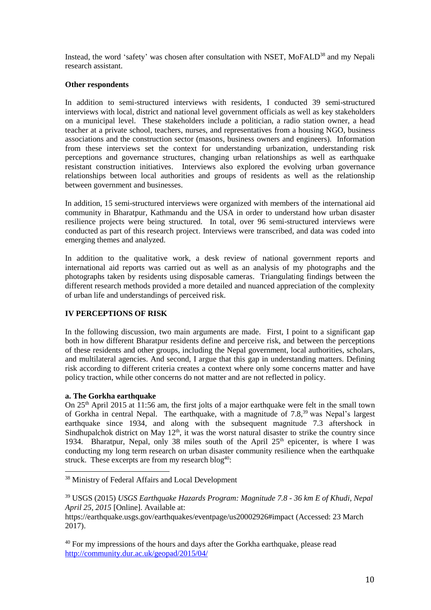Instead, the word 'safety' was chosen after consultation with NSET, MoFALD<sup>38</sup> and my Nepali research assistant.

## **Other respondents**

In addition to semi-structured interviews with residents, I conducted 39 semi-structured interviews with local, district and national level government officials as well as key stakeholders on a municipal level. These stakeholders include a politician, a radio station owner, a head teacher at a private school, teachers, nurses, and representatives from a housing NGO, business associations and the construction sector (masons, business owners and engineers). Information from these interviews set the context for understanding urbanization, understanding risk perceptions and governance structures, changing urban relationships as well as earthquake resistant construction initiatives. Interviews also explored the evolving urban governance relationships between local authorities and groups of residents as well as the relationship between government and businesses.

In addition, 15 semi-structured interviews were organized with members of the international aid community in Bharatpur, Kathmandu and the USA in order to understand how urban disaster resilience projects were being structured. In total, over 96 semi-structured interviews were conducted as part of this research project. Interviews were transcribed, and data was coded into emerging themes and analyzed.

In addition to the qualitative work, a desk review of national government reports and international aid reports was carried out as well as an analysis of my photographs and the photographs taken by residents using disposable cameras. Triangulating findings between the different research methods provided a more detailed and nuanced appreciation of the complexity of urban life and understandings of perceived risk.

# **IV PERCEPTIONS OF RISK**

In the following discussion, two main arguments are made. First, I point to a significant gap both in how different Bharatpur residents define and perceive risk, and between the perceptions of these residents and other groups, including the Nepal government, local authorities, scholars, and multilateral agencies. And second, I argue that this gap in understanding matters. Defining risk according to different criteria creates a context where only some concerns matter and have policy traction, while other concerns do not matter and are not reflected in policy.

# **a. The Gorkha earthquake**

 $\overline{a}$ 

On  $25<sup>th</sup>$  April 2015 at 11:56 am, the first jolts of a major earthquake were felt in the small town of Gorkha in central Nepal. The earthquake, with a magnitude of 7.8,<sup>39</sup> was Nepal's largest earthquake since 1934, and along with the subsequent magnitude 7.3 aftershock in Sindhupalchok district on May  $12<sup>th</sup>$ , it was the worst natural disaster to strike the country since 1934. Bharatpur, Nepal, only 38 miles south of the April  $25<sup>th</sup>$  epicenter, is where I was conducting my long term research on urban disaster community resilience when the earthquake struck. These excerpts are from my research  $b \log^{40}$ :

<sup>38</sup> Ministry of Federal Affairs and Local Development

<sup>39</sup> USGS (2015) *USGS Earthquake Hazards Program: Magnitude 7.8 - 36 km E of Khudi, Nepal April 25, 2015* [Online]. Available at:

https://earthquake.usgs.gov/earthquakes/eventpage/us20002926#impact (Accessed: 23 March 2017).

<sup>&</sup>lt;sup>40</sup> For my impressions of the hours and days after the Gorkha earthquake, please read <http://community.dur.ac.uk/geopad/2015/04/>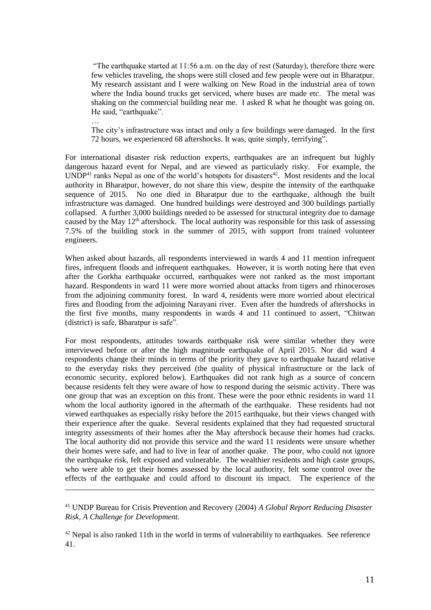"The earthquake started at 11:56 a.m. on the day of rest (Saturday), therefore there were few vehicles traveling, the shops were still closed and few people were out in Bharatpur. My research assistant and I were walking on New Road in the industrial area of town where the India bound trucks get serviced, where buses are made etc. The metal was shaking on the commercial building near me. I asked R what he thought was going on. He said, "earthquake".

… The city's infrastructure was intact and only a few buildings were damaged. In the first 72 hours, we experienced 68 aftershocks. It was, quite simply, terrifying".

For international disaster risk reduction experts, earthquakes are an infrequent but highly dangerous hazard event for Nepal, and are viewed as particularly risky. For example, the  $\text{UNDP}^{41}$  ranks Nepal as one of the world's hotspots for disasters<sup>42</sup>. Most residents and the local authority in Bharatpur, however, do not share this view, despite the intensity of the earthquake sequence of 2015. No one died in Bharatpur due to the earthquake, although the built infrastructure was damaged. One hundred buildings were destroyed and 300 buildings partially collapsed. A further 3,000 buildings needed to be assessed for structural integrity due to damage caused by the May  $12<sup>th</sup>$  aftershock. The local authority was responsible for this task of assessing 7.5% of the building stock in the summer of 2015, with support from trained volunteer engineers.

When asked about hazards, all respondents interviewed in wards 4 and 11 mention infrequent fires, infrequent floods and infrequent earthquakes. However, it is worth noting here that even after the Gorkha earthquake occurred, earthquakes were not ranked as the most important hazard. Respondents in ward 11 were more worried about attacks from tigers and rhinoceroses from the adjoining community forest. In ward 4, residents were more worried about electrical fires and flooding from the adjoining Narayani river. Even after the hundreds of aftershocks in the first five months, many respondents in wards 4 and 11 continued to assert, "Chitwan (district) is safe, Bharatpur is safe".

For most respondents, attitudes towards earthquake risk were similar whether they were interviewed before or after the high magnitude earthquake of April 2015. Nor did ward 4 respondents change their minds in terms of the priority they gave to earthquake hazard relative to the everyday risks they perceived (the quality of physical infrastructure or the lack of economic security, explored below). Earthquakes did not rank high as a source of concern because residents felt they were aware of how to respond during the seismic activity. There was one group that was an exception on this front. These were the poor ethnic residents in ward 11 whom the local authority ignored in the aftermath of the earthquake. These residents had not viewed earthquakes as especially risky before the 2015 earthquake, but their views changed with their experience after the quake. Several residents explained that they had requested structural integrity assessments of their homes after the May aftershock because their homes had cracks. The local authority did not provide this service and the ward 11 residents were unsure whether their homes were safe, and had to live in fear of another quake. The poor, who could not ignore the earthquake risk, felt exposed and vulnerable. The wealthier residents and high caste groups, who were able to get their homes assessed by the local authority, felt some control over the effects of the earthquake and could afford to discount its impact. The experience of the

<sup>41</sup> UNDP Bureau for Crisis Prevention and Recovery (2004) *A Global Report Reducing Disaster Risk, A Challenge for Development.*

<u>.</u>

<sup>42</sup> Nepal is also ranked 11th in the world in terms of vulnerability to earthquakes. See reference 41.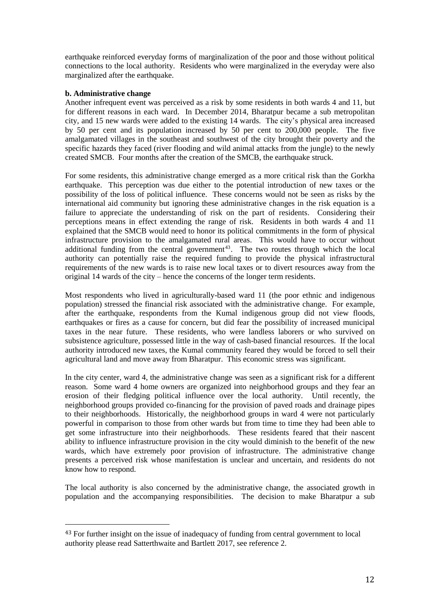earthquake reinforced everyday forms of marginalization of the poor and those without political connections to the local authority. Residents who were marginalized in the everyday were also marginalized after the earthquake.

## **b. Administrative change**

 $\overline{\phantom{a}}$ 

Another infrequent event was perceived as a risk by some residents in both wards 4 and 11, but for different reasons in each ward. In December 2014, Bharatpur became a sub metropolitan city, and 15 new wards were added to the existing 14 wards. The city's physical area increased by 50 per cent and its population increased by 50 per cent to 200,000 people. The five amalgamated villages in the southeast and southwest of the city brought their poverty and the specific hazards they faced (river flooding and wild animal attacks from the jungle) to the newly created SMCB. Four months after the creation of the SMCB, the earthquake struck.

For some residents, this administrative change emerged as a more critical risk than the Gorkha earthquake. This perception was due either to the potential introduction of new taxes or the possibility of the loss of political influence. These concerns would not be seen as risks by the international aid community but ignoring these administrative changes in the risk equation is a failure to appreciate the understanding of risk on the part of residents. Considering their perceptions means in effect extending the range of risk. Residents in both wards 4 and 11 explained that the SMCB would need to honor its political commitments in the form of physical infrastructure provision to the amalgamated rural areas. This would have to occur without additional funding from the central government<sup>43</sup>. The two routes through which the local authority can potentially raise the required funding to provide the physical infrastructural requirements of the new wards is to raise new local taxes or to divert resources away from the original 14 wards of the city – hence the concerns of the longer term residents.

Most respondents who lived in agriculturally-based ward 11 (the poor ethnic and indigenous population) stressed the financial risk associated with the administrative change. For example, after the earthquake, respondents from the Kumal indigenous group did not view floods, earthquakes or fires as a cause for concern, but did fear the possibility of increased municipal taxes in the near future. These residents, who were landless laborers or who survived on subsistence agriculture, possessed little in the way of cash-based financial resources. If the local authority introduced new taxes, the Kumal community feared they would be forced to sell their agricultural land and move away from Bharatpur. This economic stress was significant.

In the city center, ward 4, the administrative change was seen as a significant risk for a different reason. Some ward 4 home owners are organized into neighborhood groups and they fear an erosion of their fledging political influence over the local authority. Until recently, the neighborhood groups provided co-financing for the provision of paved roads and drainage pipes to their neighborhoods. Historically, the neighborhood groups in ward 4 were not particularly powerful in comparison to those from other wards but from time to time they had been able to get some infrastructure into their neighborhoods. These residents feared that their nascent ability to influence infrastructure provision in the city would diminish to the benefit of the new wards, which have extremely poor provision of infrastructure. The administrative change presents a perceived risk whose manifestation is unclear and uncertain, and residents do not know how to respond.

The local authority is also concerned by the administrative change, the associated growth in population and the accompanying responsibilities. The decision to make Bharatpur a sub

<sup>&</sup>lt;sup>43</sup> For further insight on the issue of inadequacy of funding from central government to local authority please read Satterthwaite and Bartlett 2017, see reference 2.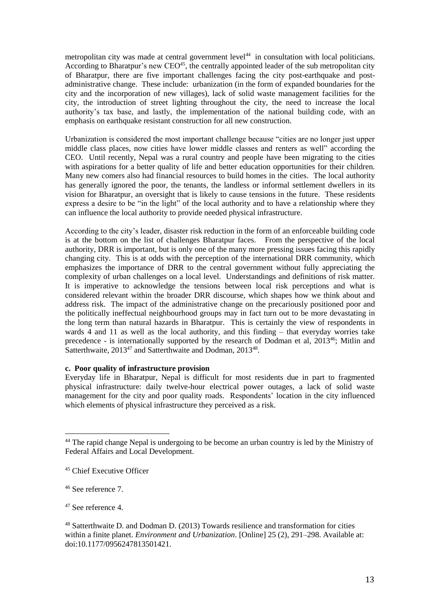metropolitan city was made at central government level<sup>44</sup> in consultation with local politicians. According to Bharatpur's new CEO<sup>45</sup>, the centrally appointed leader of the sub metropolitan city of Bharatpur, there are five important challenges facing the city post-earthquake and postadministrative change. These include: urbanization (in the form of expanded boundaries for the city and the incorporation of new villages), lack of solid waste management facilities for the city, the introduction of street lighting throughout the city, the need to increase the local authority's tax base, and lastly, the implementation of the national building code, with an emphasis on earthquake resistant construction for all new construction.

Urbanization is considered the most important challenge because "cities are no longer just upper middle class places, now cities have lower middle classes and renters as well" according the CEO. Until recently, Nepal was a rural country and people have been migrating to the cities with aspirations for a better quality of life and better education opportunities for their children. Many new comers also had financial resources to build homes in the cities. The local authority has generally ignored the poor, the tenants, the landless or informal settlement dwellers in its vision for Bharatpur, an oversight that is likely to cause tensions in the future. These residents express a desire to be "in the light" of the local authority and to have a relationship where they can influence the local authority to provide needed physical infrastructure.

According to the city's leader, disaster risk reduction in the form of an enforceable building code is at the bottom on the list of challenges Bharatpur faces. From the perspective of the local authority, DRR is important, but is only one of the many more pressing issues facing this rapidly changing city. This is at odds with the perception of the international DRR community, which emphasizes the importance of DRR to the central government without fully appreciating the complexity of urban challenges on a local level. Understandings and definitions of risk matter. It is imperative to acknowledge the tensions between local risk perceptions and what is considered relevant within the broader DRR discourse, which shapes how we think about and address risk. The impact of the administrative change on the precariously positioned poor and the politically ineffectual neighbourhood groups may in fact turn out to be more devastating in the long term than natural hazards in Bharatpur. This is certainly the view of respondents in wards 4 and 11 as well as the local authority, and this finding – that everyday worries take precedence - is internationally supported by the research of Dodman et al, 2013<sup>46</sup>; Mitlin and Satterthwaite, 2013<sup>47</sup> and Satterthwaite and Dodman, 2013<sup>48</sup>.

#### **c. Poor quality of infrastructure provision**

Everyday life in Bharatpur, Nepal is difficult for most residents due in part to fragmented physical infrastructure: daily twelve-hour electrical power outages, a lack of solid waste management for the city and poor quality roads. Respondents' location in the city influenced which elements of physical infrastructure they perceived as a risk.

 $\overline{a}$ 

<sup>&</sup>lt;sup>44</sup> The rapid change Nepal is undergoing to be become an urban country is led by the Ministry of Federal Affairs and Local Development.

<sup>45</sup> Chief Executive Officer

<sup>46</sup> See reference 7.

<sup>47</sup> See reference 4.

<sup>48</sup> Satterthwaite D. and Dodman D. (2013) Towards resilience and transformation for cities within a finite planet. *Environment and Urbanization*. [Online] 25 (2), 291–298. Available at: doi:10.1177/0956247813501421.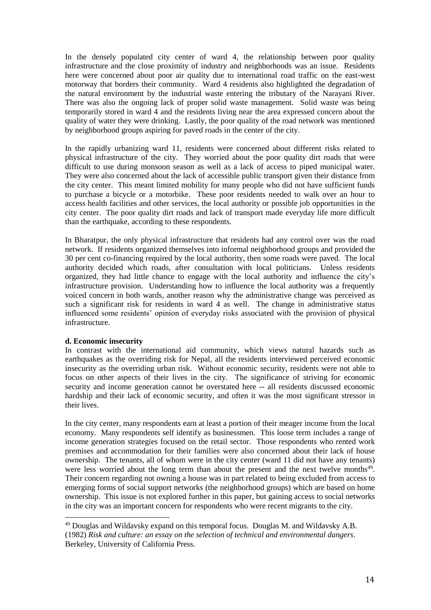In the densely populated city center of ward 4, the relationship between poor quality infrastructure and the close proximity of industry and neighborhoods was an issue. Residents here were concerned about poor air quality due to international road traffic on the east-west motorway that borders their community. Ward 4 residents also highlighted the degradation of the natural environment by the industrial waste entering the tributary of the Narayani River. There was also the ongoing lack of proper solid waste management. Solid waste was being temporarily stored in ward 4 and the residents living near the area expressed concern about the quality of water they were drinking. Lastly, the poor quality of the road network was mentioned by neighborhood groups aspiring for paved roads in the center of the city.

In the rapidly urbanizing ward 11, residents were concerned about different risks related to physical infrastructure of the city. They worried about the poor quality dirt roads that were difficult to use during monsoon season as well as a lack of access to piped municipal water. They were also concerned about the lack of accessible public transport given their distance from the city center. This meant limited mobility for many people who did not have sufficient funds to purchase a bicycle or a motorbike. These poor residents needed to walk over an hour to access health facilities and other services, the local authority or possible job opportunities in the city center. The poor quality dirt roads and lack of transport made everyday life more difficult than the earthquake, according to these respondents.

In Bharatpur, the only physical infrastructure that residents had any control over was the road network. If residents organized themselves into informal neighborhood groups and provided the 30 per cent co-financing required by the local authority, then some roads were paved. The local authority decided which roads, after consultation with local politicians. Unless residents organized, they had little chance to engage with the local authority and influence the city's infrastructure provision. Understanding how to influence the local authority was a frequently voiced concern in both wards, another reason why the administrative change was perceived as such a significant risk for residents in ward 4 as well. The change in administrative status influenced some residents' opinion of everyday risks associated with the provision of physical infrastructure.

#### **d. Economic insecurity**

 $\overline{\phantom{a}}$ 

In contrast with the international aid community, which views natural hazards such as earthquakes as the overriding risk for Nepal, all the residents interviewed perceived economic insecurity as the overriding urban risk. Without economic security, residents were not able to focus on other aspects of their lives in the city. The significance of striving for economic security and income generation cannot be overstated here -- all residents discussed economic hardship and their lack of economic security, and often it was the most significant stressor in their lives.

In the city center, many respondents earn at least a portion of their meager income from the local economy. Many respondents self identify as businessmen. This loose term includes a range of income generation strategies focused on the retail sector. Those respondents who rented work premises and accommodation for their families were also concerned about their lack of house ownership. The tenants, all of whom were in the city center (ward 11 did not have any tenants) were less worried about the long term than about the present and the next twelve months $49$ . Their concern regarding not owning a house was in part related to being excluded from access to emerging forms of social support networks (the neighborhood groups) which are based on home ownership. This issue is not explored further in this paper, but gaining access to social networks in the city was an important concern for respondents who were recent migrants to the city.

<sup>&</sup>lt;sup>49</sup> Douglas and Wildavsky expand on this temporal focus. Douglas M. and Wildavsky A.B. (1982) *Risk and culture: an essay on the selection of technical and environmental dangers*. Berkeley, University of California Press.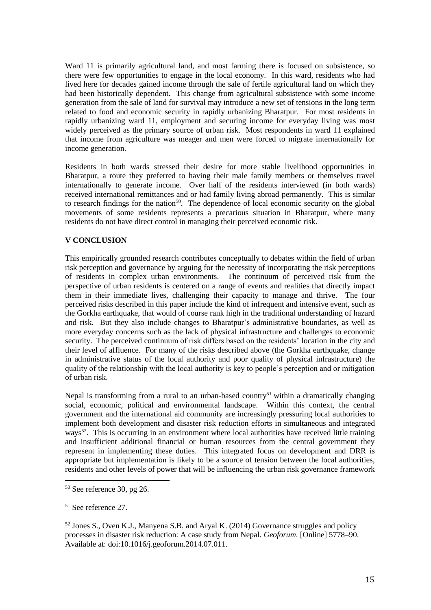Ward 11 is primarily agricultural land, and most farming there is focused on subsistence, so there were few opportunities to engage in the local economy. In this ward, residents who had lived here for decades gained income through the sale of fertile agricultural land on which they had been historically dependent. This change from agricultural subsistence with some income generation from the sale of land for survival may introduce a new set of tensions in the long term related to food and economic security in rapidly urbanizing Bharatpur. For most residents in rapidly urbanizing ward 11, employment and securing income for everyday living was most widely perceived as the primary source of urban risk. Most respondents in ward 11 explained that income from agriculture was meager and men were forced to migrate internationally for income generation.

Residents in both wards stressed their desire for more stable livelihood opportunities in Bharatpur, a route they preferred to having their male family members or themselves travel internationally to generate income. Over half of the residents interviewed (in both wards) received international remittances and or had family living abroad permanently. This is similar to research findings for the nation<sup>50</sup>. The dependence of local economic security on the global movements of some residents represents a precarious situation in Bharatpur, where many residents do not have direct control in managing their perceived economic risk.

## **V CONCLUSION**

This empirically grounded research contributes conceptually to debates within the field of urban risk perception and governance by arguing for the necessity of incorporating the risk perceptions of residents in complex urban environments. The continuum of perceived risk from the perspective of urban residents is centered on a range of events and realities that directly impact them in their immediate lives, challenging their capacity to manage and thrive. The four perceived risks described in this paper include the kind of infrequent and intensive event, such as the Gorkha earthquake, that would of course rank high in the traditional understanding of hazard and risk. But they also include changes to Bharatpur's administrative boundaries, as well as more everyday concerns such as the lack of physical infrastructure and challenges to economic security. The perceived continuum of risk differs based on the residents' location in the city and their level of affluence. For many of the risks described above (the Gorkha earthquake, change in administrative status of the local authority and poor quality of physical infrastructure) the quality of the relationship with the local authority is key to people's perception and or mitigation of urban risk.

Nepal is transforming from a rural to an urban-based country<sup>51</sup> within a dramatically changing social, economic, political and environmental landscape. Within this context, the central government and the international aid community are increasingly pressuring local authorities to implement both development and disaster risk reduction efforts in simultaneous and integrated ways<sup>52</sup>. This is occurring in an environment where local authorities have received little training and insufficient additional financial or human resources from the central government they represent in implementing these duties. This integrated focus on development and DRR is appropriate but implementation is likely to be a source of tension between the local authorities, residents and other levels of power that will be influencing the urban risk governance framework

 $\overline{\phantom{a}}$ 

 $50$  See reference 30, pg 26.

<sup>51</sup> See reference 27.

 $52$  Jones S., Oven K.J., Manyena S.B. and Aryal K. (2014) Governance struggles and policy processes in disaster risk reduction: A case study from Nepal. *Geoforum*. [Online] 5778–90. Available at: doi:10.1016/j.geoforum.2014.07.011.